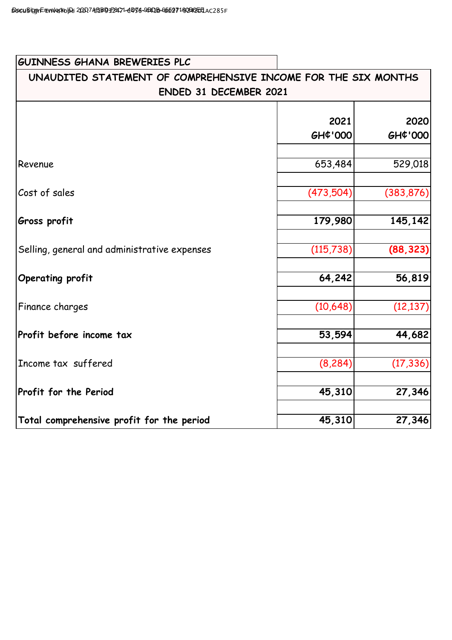| <b>GUINNESS GHANA BREWERIES PLC</b>                                                             |                 |                     |
|-------------------------------------------------------------------------------------------------|-----------------|---------------------|
| UNAUDITED STATEMENT OF COMPREHENSIVE INCOME FOR THE SIX MONTHS<br><b>ENDED 31 DECEMBER 2021</b> |                 |                     |
|                                                                                                 | 2021<br>GH¢'000 | 2020<br>GH¢'000     |
| Revenue                                                                                         | 653,484         | 529,018             |
| Cost of sales                                                                                   | (473,504)       | (383, 876)          |
| Gross profit                                                                                    | 179,980         | 145,142             |
| Selling, general and administrative expenses                                                    | (115, 738)      | (88, 323)           |
| Operating profit                                                                                | 64,242          | 56,819              |
| Finance charges                                                                                 | (10,648)        | (12, 137)           |
| Profit before income tax                                                                        | 53,594          | 44,682              |
| Income tax suffered                                                                             | (8, 284)        | (17, 336)           |
| Profit for the Period                                                                           | 45,310          | $\overline{27,346}$ |
| Total comprehensive profit for the period                                                       | 45,310          | 27,346              |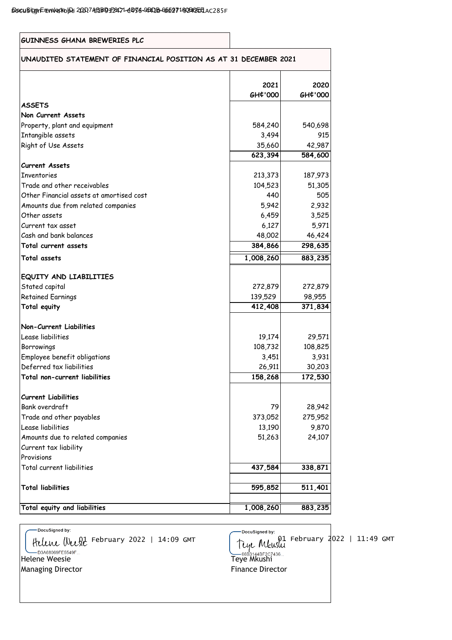| GUINNESS GHANA BREWERIES PLC                                     |                      |         |
|------------------------------------------------------------------|----------------------|---------|
| UNAUDITED STATEMENT OF FINANCIAL POSITION AS AT 31 DECEMBER 2021 |                      |         |
|                                                                  | 2021                 | 2020    |
|                                                                  | GH¢'000              | GH¢'000 |
| <b>ASSETS</b>                                                    |                      |         |
| Non Current Assets                                               |                      |         |
| Property, plant and equipment                                    | 584,240              | 540,698 |
| Intangible assets                                                | 3,494                | 915     |
| Right of Use Assets                                              | 35,660               | 42,987  |
|                                                                  | $\overline{623,394}$ | 584,600 |
| <b>Current Assets</b>                                            |                      |         |
| <b>Inventories</b>                                               | 213,373              | 187,973 |
| Trade and other receivables                                      | 104,523              | 51,305  |
| Other Financial assets at amortised cost                         | 440                  | 505     |
| Amounts due from related companies                               | 5,942                | 2,932   |
| Other assets                                                     | 6,459                | 3,525   |
| Current tax asset                                                | 6,127                | 5,971   |
| Cash and bank balances                                           | 48,002               | 46,424  |
| Total current assets                                             | 384,866              | 298,635 |
| Total assets                                                     | 1,008,260            | 883,235 |
|                                                                  |                      |         |
| EQUITY AND LIABILITIES                                           |                      |         |
| Stated capital                                                   | 272,879              | 272,879 |
| <b>Retained Earnings</b>                                         | 139,529              | 98,955  |
| Total equity                                                     | 412,408              | 371,834 |
| Non-Current Liabilities                                          |                      |         |
| Lease liabilities                                                | 19,174               | 29,571  |
| Borrowings                                                       | 108,732              | 108,825 |
| Employee benefit obligations                                     | 3,451                | 3,931   |
| Deferred tax liabilities                                         | 26,911               | 30,203  |
| Total non-current liabilities                                    | 158,268              | 172,530 |
| <b>Current Liabilities</b>                                       |                      |         |
| Bank overdraft                                                   | 79                   | 28,942  |
| Trade and other payables                                         | 373,052              | 275,952 |
| Lease liabilities                                                | 13,190               | 9,870   |
| Amounts due to related companies                                 | 51,263               | 24,107  |
| Current tax liability                                            |                      |         |
| Provisions                                                       |                      |         |
| Total current liabilities                                        | 437,584              | 338,871 |
| <b>Total liabilities</b>                                         | 595,852              | 511,401 |
|                                                                  |                      |         |
| Total equity and liabilities                                     | 1,008,260            | 883,235 |

Helene Weest February 2022 | 14:09 GMT<br>Helene Weesie Helene Weesie Managing Director | Managing Director | National Contract Contract Contract Contract Contract Contract Contract Contract Contract Contract Contract Contract Contract Contract Contract Contract Contract Contract Contract Contract Contract Co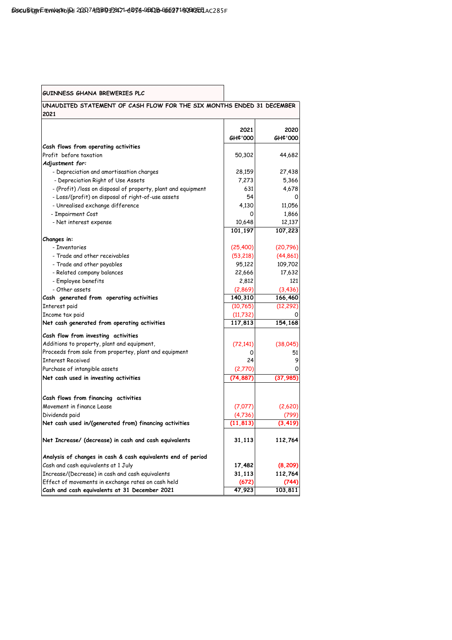| GUINNESS GHANA BREWERIES PLC                                                  |           |           |  |  |
|-------------------------------------------------------------------------------|-----------|-----------|--|--|
| UNAUDITED STATEMENT OF CASH FLOW FOR THE SIX MONTHS ENDED 31 DECEMBER<br>2021 |           |           |  |  |
|                                                                               | 2021      | 2020      |  |  |
|                                                                               | GH¢'000   | GH¢'000   |  |  |
| Cash flows from operating activities                                          |           |           |  |  |
| Profit before taxation                                                        | 50,302    | 44,682    |  |  |
| Adjustment for:                                                               |           |           |  |  |
| - Depreciation and amortisastion charges                                      | 28,159    | 27,438    |  |  |
| - Depreciation Right of Use Assets                                            | 7,273     | 5,366     |  |  |
| - (Profit) /loss on disposal of property, plant and equipment                 | 631       | 4,678     |  |  |
| - Loss/(profit) on disposal of right-of-use assets                            | 54        | 0         |  |  |
| - Unrealised exchange difference                                              | 4,130     | 11,056    |  |  |
| - Impairment Cost                                                             | 0         | 1,866     |  |  |
| - Net interest expense                                                        | 10,648    | 12,137    |  |  |
|                                                                               | 101,197   | 107,223   |  |  |
| Changes in:                                                                   |           |           |  |  |
| - Inventories                                                                 | (25, 400) | (20, 796) |  |  |
| - Trade and other receivables                                                 | (53, 218) | (44, 861) |  |  |
| - Trade and other payables                                                    | 95,122    | 109,702   |  |  |
| - Related company balances                                                    | 22,666    | 17,632    |  |  |
| - Employee benefits                                                           | 2,812     | 121       |  |  |
| - Other assets                                                                | (2,869)   | (3, 436)  |  |  |
| Cash generated from operating activities                                      | 140,310   | 166,460   |  |  |
| Interest paid                                                                 | (10, 765) | (12, 292) |  |  |
| Income tax paid                                                               | (11, 732) |           |  |  |
| Net cash generated from operating activities                                  | 117,813   | 154,168   |  |  |
| Cash flow from investing activities                                           |           |           |  |  |
| Additions to property, plant and equipment,                                   | (72, 141) | (38,045)  |  |  |
| Proceeds from sale from propertey, plant and equipment                        | 0         | 51        |  |  |
| <b>Interest Received</b>                                                      | 24        | 9         |  |  |
| Purchase of intangible assets                                                 | (2,770)   |           |  |  |
| Net cash used in investing activities                                         | (74, 887) | (37, 985) |  |  |
|                                                                               |           |           |  |  |
| Cash flows from financing activities                                          |           |           |  |  |
| Movement in finance Lease                                                     | (7,077)   | (2,620)   |  |  |
| Dividends paid                                                                | (4,736)   |           |  |  |
| Net cash used in/(generated from) financing activities                        | (11, 813) |           |  |  |
| Net Increase/ (decrease) in cash and cash equivalents                         | 31,113    | 112,764   |  |  |
| Analysis of changes in cash & cash equivalents end of period                  |           |           |  |  |
| Cash and cash equivalents at 1 July                                           | 17,482    | (8, 209)  |  |  |
| Increase/(Decrease) in cash and cash equivalents                              | 31,113    | 112,764   |  |  |
| Effect of movements in exchange rates on cash held                            | (672)     | (744      |  |  |
| Cash and cash equivalents at 31 December 2021                                 | 47,923    | 103,811   |  |  |